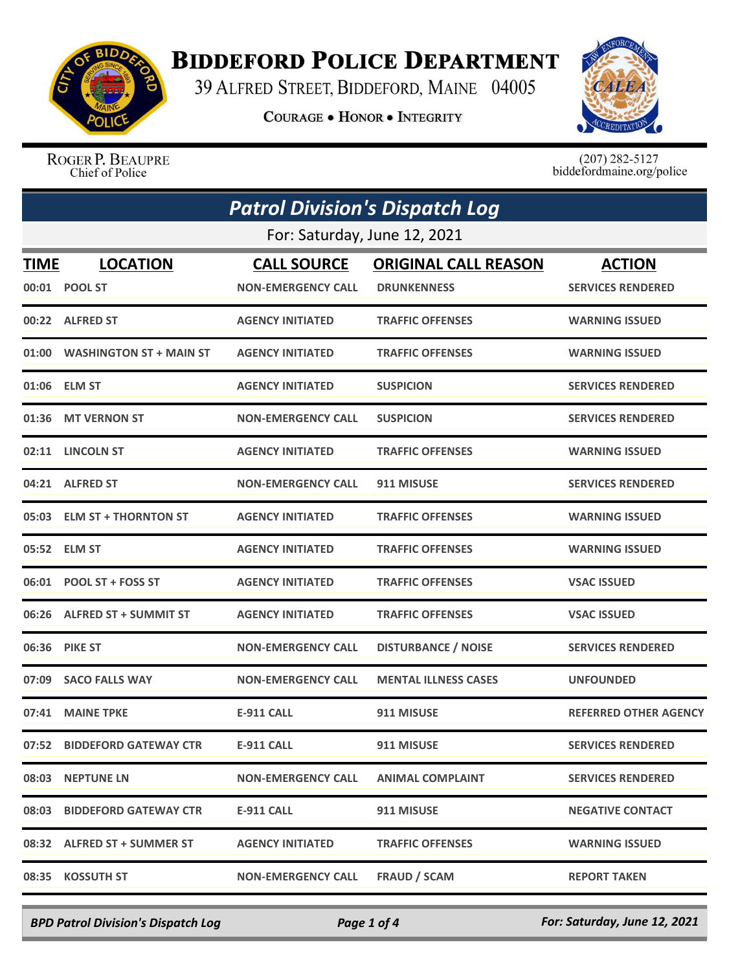

## **BIDDEFORD POLICE DEPARTMENT**

39 ALFRED STREET, BIDDEFORD, MAINE 04005

**COURAGE . HONOR . INTEGRITY** 



ROGER P. BEAUPRE Chief of Police

 $(207)$  282-5127<br>biddefordmaine.org/police

| <b>Patrol Division's Dispatch Log</b> |                                  |                                                 |                                                   |                                           |
|---------------------------------------|----------------------------------|-------------------------------------------------|---------------------------------------------------|-------------------------------------------|
| For: Saturday, June 12, 2021          |                                  |                                                 |                                                   |                                           |
| <b>TIME</b>                           | <b>LOCATION</b><br>00:01 POOL ST | <b>CALL SOURCE</b><br><b>NON-EMERGENCY CALL</b> | <b>ORIGINAL CALL REASON</b><br><b>DRUNKENNESS</b> | <b>ACTION</b><br><b>SERVICES RENDERED</b> |
|                                       | 00:22 ALFRED ST                  | <b>AGENCY INITIATED</b>                         | <b>TRAFFIC OFFENSES</b>                           | <b>WARNING ISSUED</b>                     |
|                                       | 01:00 WASHINGTON ST + MAIN ST    | <b>AGENCY INITIATED</b>                         | <b>TRAFFIC OFFENSES</b>                           | <b>WARNING ISSUED</b>                     |
|                                       | 01:06 ELM ST                     | <b>AGENCY INITIATED</b>                         | <b>SUSPICION</b>                                  | <b>SERVICES RENDERED</b>                  |
|                                       | 01:36 MT VERNON ST               | <b>NON-EMERGENCY CALL</b>                       | <b>SUSPICION</b>                                  | <b>SERVICES RENDERED</b>                  |
|                                       | 02:11 LINCOLN ST                 | <b>AGENCY INITIATED</b>                         | <b>TRAFFIC OFFENSES</b>                           | <b>WARNING ISSUED</b>                     |
|                                       | 04:21 ALFRED ST                  | <b>NON-EMERGENCY CALL</b>                       | 911 MISUSE                                        | <b>SERVICES RENDERED</b>                  |
|                                       | 05:03 ELM ST + THORNTON ST       | <b>AGENCY INITIATED</b>                         | <b>TRAFFIC OFFENSES</b>                           | <b>WARNING ISSUED</b>                     |
|                                       | 05:52 ELM ST                     | <b>AGENCY INITIATED</b>                         | <b>TRAFFIC OFFENSES</b>                           | <b>WARNING ISSUED</b>                     |
|                                       | 06:01 POOL ST + FOSS ST          | <b>AGENCY INITIATED</b>                         | <b>TRAFFIC OFFENSES</b>                           | <b>VSAC ISSUED</b>                        |
|                                       | 06:26 ALFRED ST + SUMMIT ST      | <b>AGENCY INITIATED</b>                         | <b>TRAFFIC OFFENSES</b>                           | <b>VSAC ISSUED</b>                        |
|                                       | 06:36 PIKE ST                    | <b>NON-EMERGENCY CALL</b>                       | <b>DISTURBANCE / NOISE</b>                        | <b>SERVICES RENDERED</b>                  |
| 07:09                                 | <b>SACO FALLS WAY</b>            | <b>NON-EMERGENCY CALL</b>                       | <b>MENTAL ILLNESS CASES</b>                       | <b>UNFOUNDED</b>                          |
|                                       | 07:41 MAINE TPKE                 | E-911 CALL                                      | 911 MISUSE                                        | <b>REFERRED OTHER AGENCY</b>              |
|                                       | 07:52 BIDDEFORD GATEWAY CTR      | <b>E-911 CALL</b>                               | 911 MISUSE                                        | <b>SERVICES RENDERED</b>                  |
|                                       | 08:03 NEPTUNE LN                 | <b>NON-EMERGENCY CALL</b>                       | <b>ANIMAL COMPLAINT</b>                           | <b>SERVICES RENDERED</b>                  |
|                                       | 08:03 BIDDEFORD GATEWAY CTR      | E-911 CALL                                      | 911 MISUSE                                        | <b>NEGATIVE CONTACT</b>                   |
|                                       | 08:32 ALFRED ST + SUMMER ST      | <b>AGENCY INITIATED</b>                         | <b>TRAFFIC OFFENSES</b>                           | <b>WARNING ISSUED</b>                     |
|                                       | 08:35 KOSSUTH ST                 | <b>NON-EMERGENCY CALL</b>                       | <b>FRAUD / SCAM</b>                               | <b>REPORT TAKEN</b>                       |

*BPD Patrol Division's Dispatch Log Page 1 of 4 For: Saturday, June 12, 2021*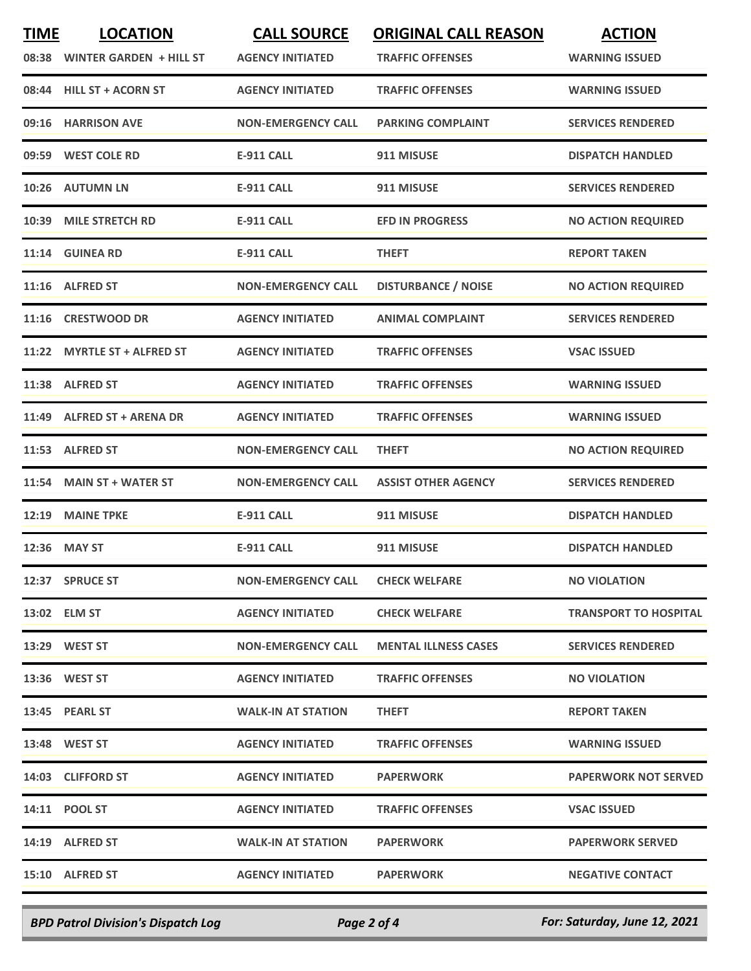| <b>TIME</b> | <b>LOCATION</b>               | <b>CALL SOURCE</b>        | <b>ORIGINAL CALL REASON</b> | <b>ACTION</b>                |
|-------------|-------------------------------|---------------------------|-----------------------------|------------------------------|
|             | 08:38 WINTER GARDEN + HILL ST | <b>AGENCY INITIATED</b>   | <b>TRAFFIC OFFENSES</b>     | <b>WARNING ISSUED</b>        |
| 08:44       | <b>HILL ST + ACORN ST</b>     | <b>AGENCY INITIATED</b>   | <b>TRAFFIC OFFENSES</b>     | <b>WARNING ISSUED</b>        |
|             | 09:16 HARRISON AVE            | <b>NON-EMERGENCY CALL</b> | <b>PARKING COMPLAINT</b>    | <b>SERVICES RENDERED</b>     |
|             | 09:59 WEST COLE RD            | <b>E-911 CALL</b>         | 911 MISUSE                  | <b>DISPATCH HANDLED</b>      |
|             | 10:26 AUTUMN LN               | <b>E-911 CALL</b>         | 911 MISUSE                  | <b>SERVICES RENDERED</b>     |
|             | 10:39 MILE STRETCH RD         | <b>E-911 CALL</b>         | <b>EFD IN PROGRESS</b>      | <b>NO ACTION REQUIRED</b>    |
|             | 11:14 GUINEA RD               | <b>E-911 CALL</b>         | <b>THEFT</b>                | <b>REPORT TAKEN</b>          |
|             | 11:16 ALFRED ST               | <b>NON-EMERGENCY CALL</b> | <b>DISTURBANCE / NOISE</b>  | <b>NO ACTION REQUIRED</b>    |
|             | 11:16 CRESTWOOD DR            | <b>AGENCY INITIATED</b>   | <b>ANIMAL COMPLAINT</b>     | <b>SERVICES RENDERED</b>     |
|             | 11:22 MYRTLE ST + ALFRED ST   | <b>AGENCY INITIATED</b>   | <b>TRAFFIC OFFENSES</b>     | <b>VSAC ISSUED</b>           |
|             | 11:38 ALFRED ST               | <b>AGENCY INITIATED</b>   | <b>TRAFFIC OFFENSES</b>     | <b>WARNING ISSUED</b>        |
|             | 11:49 ALFRED ST + ARENA DR    | <b>AGENCY INITIATED</b>   | <b>TRAFFIC OFFENSES</b>     | <b>WARNING ISSUED</b>        |
|             | 11:53 ALFRED ST               | <b>NON-EMERGENCY CALL</b> | <b>THEFT</b>                | <b>NO ACTION REQUIRED</b>    |
|             | 11:54 MAIN ST + WATER ST      | <b>NON-EMERGENCY CALL</b> | <b>ASSIST OTHER AGENCY</b>  | <b>SERVICES RENDERED</b>     |
|             | 12:19 MAINE TPKE              | <b>E-911 CALL</b>         | 911 MISUSE                  | <b>DISPATCH HANDLED</b>      |
| 12:36       | <b>MAY ST</b>                 | <b>E-911 CALL</b>         | 911 MISUSE                  | <b>DISPATCH HANDLED</b>      |
|             | 12:37 SPRUCE ST               | <b>NON-EMERGENCY CALL</b> | <b>CHECK WELFARE</b>        | <b>NO VIOLATION</b>          |
|             | 13:02 ELM ST                  | <b>AGENCY INITIATED</b>   | <b>CHECK WELFARE</b>        | <b>TRANSPORT TO HOSPITAL</b> |
|             | 13:29 WEST ST                 | <b>NON-EMERGENCY CALL</b> | <b>MENTAL ILLNESS CASES</b> | <b>SERVICES RENDERED</b>     |
|             | 13:36 WEST ST                 | <b>AGENCY INITIATED</b>   | <b>TRAFFIC OFFENSES</b>     | <b>NO VIOLATION</b>          |
|             | 13:45 PEARL ST                | <b>WALK-IN AT STATION</b> | <b>THEFT</b>                | <b>REPORT TAKEN</b>          |
|             | 13:48 WEST ST                 | <b>AGENCY INITIATED</b>   | <b>TRAFFIC OFFENSES</b>     | <b>WARNING ISSUED</b>        |
|             | 14:03 CLIFFORD ST             | <b>AGENCY INITIATED</b>   | <b>PAPERWORK</b>            | <b>PAPERWORK NOT SERVED</b>  |
|             | 14:11 POOL ST                 | <b>AGENCY INITIATED</b>   | <b>TRAFFIC OFFENSES</b>     | <b>VSAC ISSUED</b>           |
|             | 14:19 ALFRED ST               | <b>WALK-IN AT STATION</b> | <b>PAPERWORK</b>            | <b>PAPERWORK SERVED</b>      |
|             | 15:10 ALFRED ST               | <b>AGENCY INITIATED</b>   | <b>PAPERWORK</b>            | <b>NEGATIVE CONTACT</b>      |
|             |                               |                           |                             |                              |

*BPD Patrol Division's Dispatch Log Page 2 of 4 For: Saturday, June 12, 2021*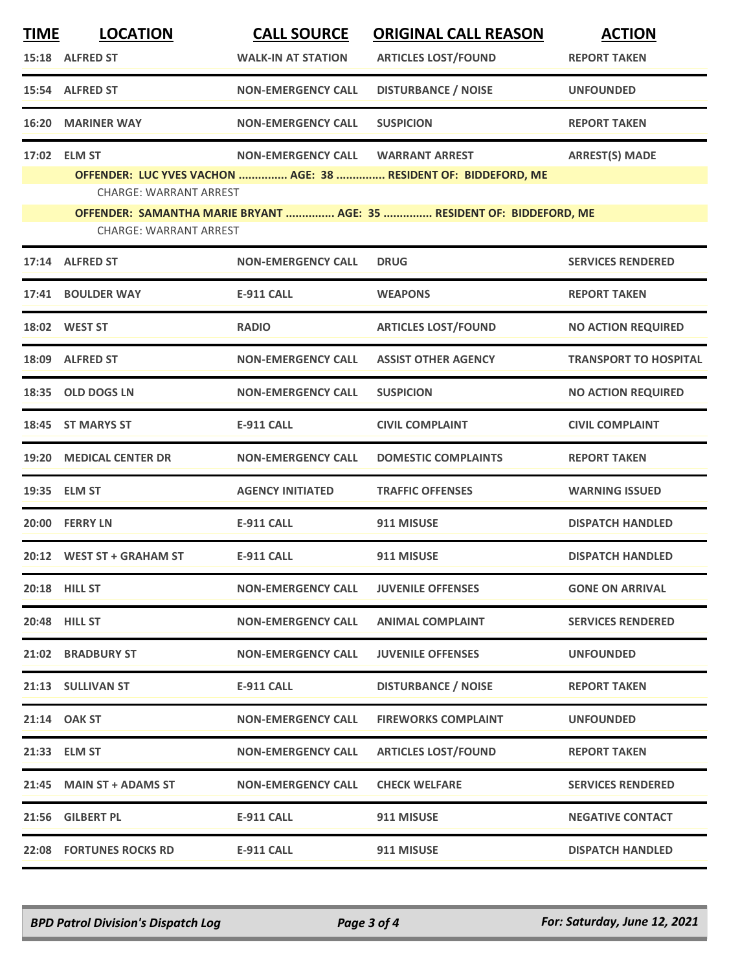| <b>TIME</b> | <b>LOCATION</b><br>15:18 ALFRED ST | <b>CALL SOURCE</b><br><b>WALK-IN AT STATION</b> | <b>ORIGINAL CALL REASON</b><br><b>ARTICLES LOST/FOUND</b>            | <b>ACTION</b><br><b>REPORT TAKEN</b> |
|-------------|------------------------------------|-------------------------------------------------|----------------------------------------------------------------------|--------------------------------------|
|             | 15:54 ALFRED ST                    | <b>NON-EMERGENCY CALL</b>                       | <b>DISTURBANCE / NOISE</b>                                           | <b>UNFOUNDED</b>                     |
| 16:20       | <b>MARINER WAY</b>                 | <b>NON-EMERGENCY CALL</b>                       | <b>SUSPICION</b>                                                     | <b>REPORT TAKEN</b>                  |
|             | 17:02 ELM ST                       | <b>NON-EMERGENCY CALL</b>                       | <b>WARRANT ARREST</b>                                                | <b>ARREST(S) MADE</b>                |
|             | <b>CHARGE: WARRANT ARREST</b>      |                                                 | OFFENDER: LUC YVES VACHON  AGE: 38  RESIDENT OF: BIDDEFORD, ME       |                                      |
|             |                                    |                                                 | OFFENDER: SAMANTHA MARIE BRYANT  AGE: 35  RESIDENT OF: BIDDEFORD, ME |                                      |
|             | <b>CHARGE: WARRANT ARREST</b>      |                                                 |                                                                      |                                      |
|             | 17:14 ALFRED ST                    | <b>NON-EMERGENCY CALL</b>                       | <b>DRUG</b>                                                          | <b>SERVICES RENDERED</b>             |
| 17:41       | <b>BOULDER WAY</b>                 | <b>E-911 CALL</b>                               | <b>WEAPONS</b>                                                       | <b>REPORT TAKEN</b>                  |
|             | 18:02 WEST ST                      | <b>RADIO</b>                                    | <b>ARTICLES LOST/FOUND</b>                                           | <b>NO ACTION REQUIRED</b>            |
| 18:09       | <b>ALFRED ST</b>                   | <b>NON-EMERGENCY CALL</b>                       | <b>ASSIST OTHER AGENCY</b>                                           | <b>TRANSPORT TO HOSPITAL</b>         |
| 18:35       | <b>OLD DOGS LN</b>                 | <b>NON-EMERGENCY CALL</b>                       | <b>SUSPICION</b>                                                     | <b>NO ACTION REQUIRED</b>            |
|             | 18:45 ST MARYS ST                  | <b>E-911 CALL</b>                               | <b>CIVIL COMPLAINT</b>                                               | <b>CIVIL COMPLAINT</b>               |
| 19:20       | <b>MEDICAL CENTER DR</b>           | <b>NON-EMERGENCY CALL</b>                       | <b>DOMESTIC COMPLAINTS</b>                                           | <b>REPORT TAKEN</b>                  |
|             | 19:35 ELM ST                       | <b>AGENCY INITIATED</b>                         | <b>TRAFFIC OFFENSES</b>                                              | <b>WARNING ISSUED</b>                |
| 20:00       | <b>FERRY LN</b>                    | <b>E-911 CALL</b>                               | 911 MISUSE                                                           | <b>DISPATCH HANDLED</b>              |
|             | 20:12 WEST ST + GRAHAM ST          | <b>E-911 CALL</b>                               | 911 MISUSE                                                           | <b>DISPATCH HANDLED</b>              |
|             | <b>20:18 HILL ST</b>               | <b>NON-EMERGENCY CALL</b>                       | <b>JUVENILE OFFENSES</b>                                             | <b>GONE ON ARRIVAL</b>               |
|             | 20:48 HILL ST                      | <b>NON-EMERGENCY CALL</b>                       | <b>ANIMAL COMPLAINT</b>                                              | <b>SERVICES RENDERED</b>             |
|             | 21:02 BRADBURY ST                  | <b>NON-EMERGENCY CALL</b>                       | <b>JUVENILE OFFENSES</b>                                             | <b>UNFOUNDED</b>                     |
|             | 21:13 SULLIVAN ST                  | <b>E-911 CALL</b>                               | <b>DISTURBANCE / NOISE</b>                                           | <b>REPORT TAKEN</b>                  |
|             | 21:14 OAK ST                       | <b>NON-EMERGENCY CALL</b>                       | <b>FIREWORKS COMPLAINT</b>                                           | <b>UNFOUNDED</b>                     |
|             | 21:33 ELM ST                       | <b>NON-EMERGENCY CALL</b>                       | <b>ARTICLES LOST/FOUND</b>                                           | <b>REPORT TAKEN</b>                  |
|             | 21:45 MAIN ST + ADAMS ST           | <b>NON-EMERGENCY CALL</b>                       | <b>CHECK WELFARE</b>                                                 | <b>SERVICES RENDERED</b>             |
|             | 21:56 GILBERT PL                   | <b>E-911 CALL</b>                               | 911 MISUSE                                                           | <b>NEGATIVE CONTACT</b>              |
|             | 22:08 FORTUNES ROCKS RD            | <b>E-911 CALL</b>                               | 911 MISUSE                                                           | <b>DISPATCH HANDLED</b>              |

*BPD Patrol Division's Dispatch Log Page 3 of 4 For: Saturday, June 12, 2021*